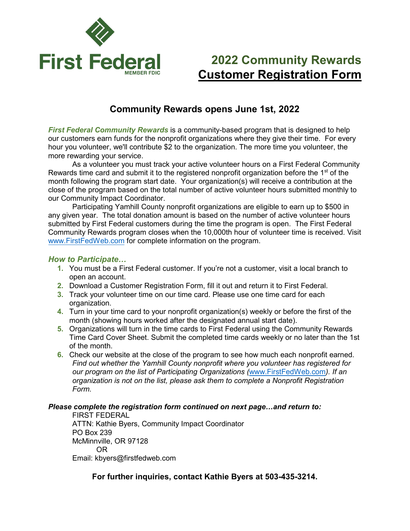

## **2022 Community Rewards Customer Registration Form**

### **Community Rewards opens June 1st, 2022**

*First Federal Community Rewards* is a community-based program that is designed to help our customers earn funds for the nonprofit organizations where they give their time. For every hour you volunteer, we'll contribute \$2 to the organization. The more time you volunteer, the more rewarding your service.

As a volunteer you must track your active volunteer hours on a First Federal Community Rewards time card and submit it to the registered nonprofit organization before the 1<sup>st</sup> of the month following the program start date. Your organization(s) will receive a contribution at the close of the program based on the total number of active volunteer hours submitted monthly to our Community Impact Coordinator.

Participating Yamhill County nonprofit organizations are eligible to earn up to \$500 in any given year. The total donation amount is based on the number of active volunteer hours submitted by First Federal customers during the time the program is open. The First Federal Community Rewards program closes when the 10,000th hour of volunteer time is received. Visit [www.FirstFedWeb.com](http://www.firstfedweb.com/) for complete information on the program.

#### *How to Participate…*

- **1.** You must be a First Federal customer. If you're not a customer, visit a local branch to open an account.
- **2.** Download a Customer Registration Form, fill it out and return it to First Federal.
- **3.** Track your volunteer time on our time card. Please use one time card for each organization.
- **4.** Turn in your time card to your nonprofit organization(s) weekly or before the first of the month (showing hours worked after the designated annual start date).
- **5.** Organizations will turn in the time cards to First Federal using the Community Rewards Time Card Cover Sheet. Submit the completed time cards weekly or no later than the 1st of the month.
- **6.** Check our website at the close of the program to see how much each nonprofit earned. *Find out whether the Yamhill County nonprofit where you volunteer has registered for our program on the list of Participating Organizations (*[www.FirstFedWeb.com](http://www.firstfedweb.com/)*). If an organization is not on the list, please ask them to complete a Nonprofit Registration Form.*

#### *Please complete the registration form continued on next page…and return to:*

FIRST FEDERAL ATTN: Kathie Byers, Community Impact Coordinator PO Box 239 McMinnville, OR 97128 OR Email: kbyers@firstfedweb.com

**For further inquiries, contact Kathie Byers at 503-435-3214.**